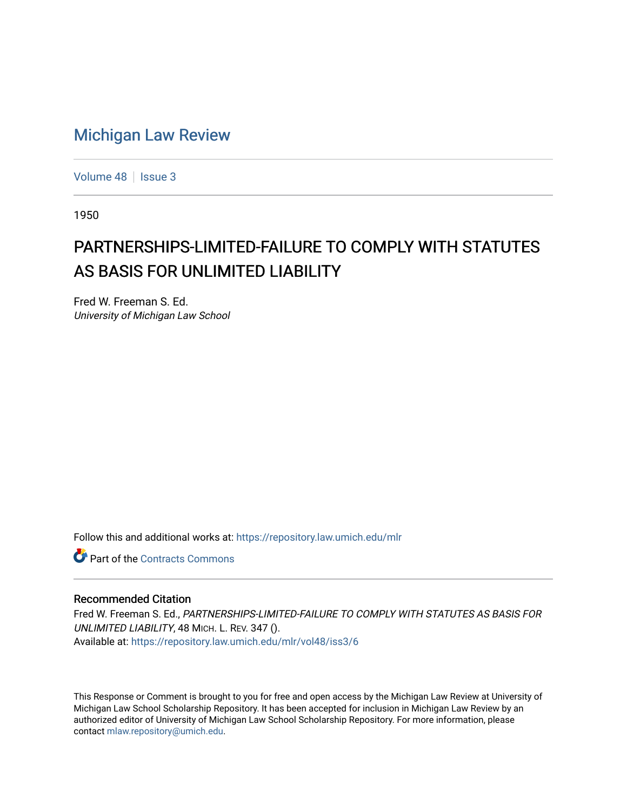# [Michigan Law Review](https://repository.law.umich.edu/mlr)

[Volume 48](https://repository.law.umich.edu/mlr/vol48) | [Issue 3](https://repository.law.umich.edu/mlr/vol48/iss3)

1950

# PARTNERSHIPS-LIMITED-FAILURE TO COMPLY WITH STATUTES AS BASIS FOR UNLIMITED LIABILITY

Fred W. Freeman S. Ed. University of Michigan Law School

Follow this and additional works at: [https://repository.law.umich.edu/mlr](https://repository.law.umich.edu/mlr?utm_source=repository.law.umich.edu%2Fmlr%2Fvol48%2Fiss3%2F6&utm_medium=PDF&utm_campaign=PDFCoverPages) 

**C** Part of the [Contracts Commons](http://network.bepress.com/hgg/discipline/591?utm_source=repository.law.umich.edu%2Fmlr%2Fvol48%2Fiss3%2F6&utm_medium=PDF&utm_campaign=PDFCoverPages)

### Recommended Citation

Fred W. Freeman S. Ed., PARTNERSHIPS-LIMITED-FAILURE TO COMPLY WITH STATUTES AS BASIS FOR UNLIMITED LIABILITY, 48 MICH. L. REV. 347 (). Available at: [https://repository.law.umich.edu/mlr/vol48/iss3/6](https://repository.law.umich.edu/mlr/vol48/iss3/6?utm_source=repository.law.umich.edu%2Fmlr%2Fvol48%2Fiss3%2F6&utm_medium=PDF&utm_campaign=PDFCoverPages)

This Response or Comment is brought to you for free and open access by the Michigan Law Review at University of Michigan Law School Scholarship Repository. It has been accepted for inclusion in Michigan Law Review by an authorized editor of University of Michigan Law School Scholarship Repository. For more information, please contact [mlaw.repository@umich.edu](mailto:mlaw.repository@umich.edu).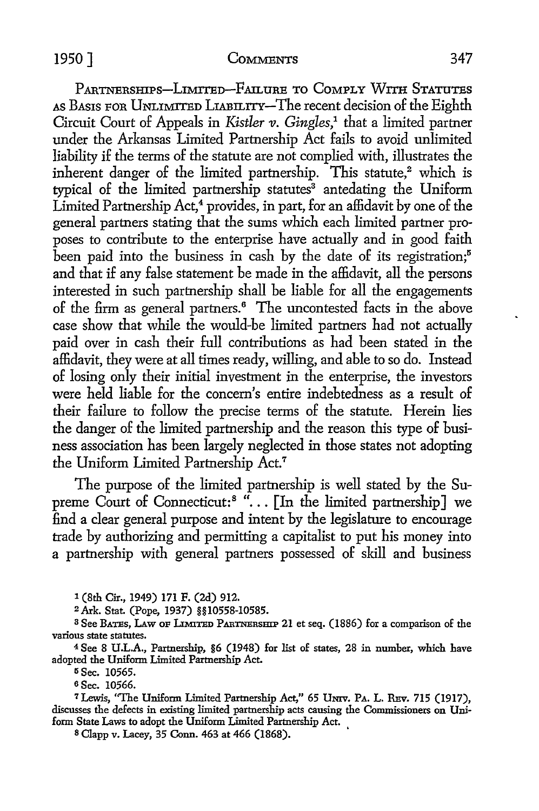## 1950] COMMENTS 347

PARTNERSHIPS-LIMITED-FAILURE TO COMPLY WITH STATUTES AS BASIS FOR UNLIMITED LIABILITY-The recent decision of the Eighth Circuit Court of Appeals in *Kistler v. Gingles*,<sup>1</sup> that a limited partner under the Arkansas Limited Partnership Act fails to avoid unlimited liability if the terms of the statute are not complied with, illustrates the inherent danger of the limited partnership. This statute,<sup>2</sup> which is typical of the limited partnership statutes<sup>3</sup> antedating the Uniform Limited Partnership  $Act<sub>1</sub><sup>4</sup>$  provides, in part, for an affidavit by one of the general partners stating that the sums which each limited partner proposes to contribute to the enterprise have actually and in good faith been paid into the business in cash by the date of its registration; $5$ and that if any false statement be made in the affidavit, all the persons interested in such partnership shall be liable for all the engagements of the firm as general partners.<sup>6</sup> The uncontested facts in the above case show that while the would-be limited partners had not actually paid over in cash their full contributions as had been stated in the affidavit, they were at all times ready, willing, and able to so do. Instead of losing only their initial investment in the enterprise, the investors were held liable for the concern's entire indebtedness as a result of their failure to follow the precise terms of the statute. Herein lies the danger of the limited partnership and the reason this type of business association has been largely neglected in those states not adopting the Uniform Limited Partnership Act.<sup>7</sup>

The purpose of the limited partnership is well stated by the Supreme Court of Connecticut:<sup>8</sup> " $\ldots$  [In the limited partnership] we find a clear general purpose and intent by the legislature to encourage trade by authorizing and permitting a capitalist to put his money into a partnership with general partners possessed of skill and business

1 (8th Cir., 1949) 171 F. (2d) 912.

<sup>2</sup>Ark. Stat. (Pope, 1937) §§10558-10585.

<sup>3</sup> See BATES, LAW OF LIMITED PARTNERSHIP 21 et seq. (1886) for a comparison of the various state statutes.

<sup>4</sup>See 8 U.L.A., Partnership, §6 (1948) for list of states, 28 in number, which have adopted the Uniform Limited Partnership Act.

<sup>5</sup> Sec. 10565.

6 Sec. 10566.

<sup>7</sup> Lewis, "The Uniform Limited Partnership Act," 65 UNIV. PA. L. REv. 715 (1917), discusses the defects in existing limited partnership acts causing the Commissioners on Uniform State Laws to adopt the Uniform Limited Partnership Act.

s Clapp v. Lacey, 35 Conn. 463 at 466 (1868). '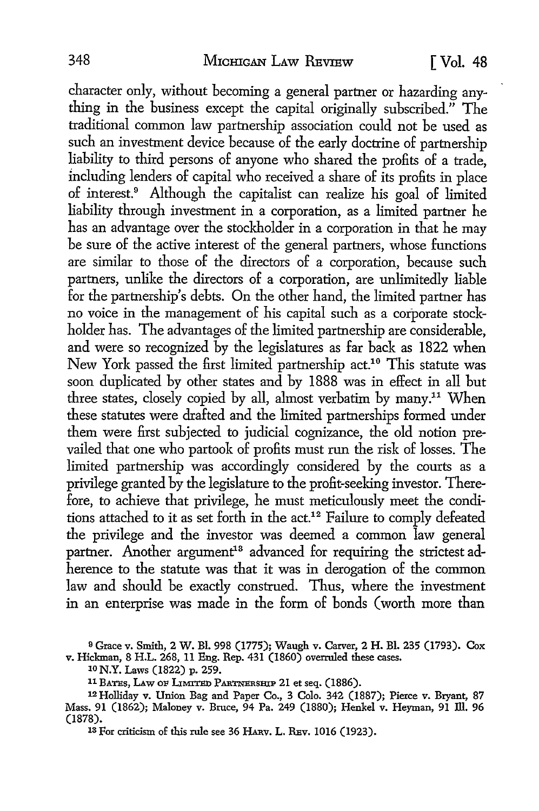character only, without becoming a general partner or hazarding anything in the business except the capital originally subscribed." The traditional common law partnership association could not be used as such an investment device because of the early doctrine of partnership liability to third persons of anyone who shared the profits of a trade, including lenders of capital who received a share of its profits in place of interest.<sup>9</sup> Although the capitalist can realize his goal of limited liability through investment in a corporation, as a limited partner he has an advantage over the stockholder in a corporation in that he may be sure of the active interest of the general partners, whose functions are similar to those of the directors of a corporation, because such partners, unlike the directors of a corporation, are unlimitedly liable for the partnership's debts. On the other hand, the limited partner has no voice in the management of his capital such as a corporate stockholder has. The advantages of the limited partnership are considerable, and were so recognized by the legislatures as far back as 1822 when New York passed the first limited partnership act.<sup>10</sup> This statute was soon duplicated by other states and by 1888 was in effect in all but three states, closely copied by all, almost verbatim by many.<sup>11</sup> When these statutes were drafted and the limited partnerships formed under them were first subjected to judicial cognizance, the old notion prevailed that one who partook of profits must run the risk of losses. The limited partnership was accordingly considered by the courts as a privilege granted by the legislature to the profit-seeking investor. Therefore, to achieve that privilege, he must meticulously meet the conditions attached to it as set forth in the act.<sup>12</sup> Failure to comply defeated the privilege and the investor was deemed a common law general partner. Another argument<sup>13</sup> advanced for requiring the strictest adherence to the statute was that it was in derogation of the common law and should be exactly construed. Thus, where the investment in an enterprise was made in the form of bonds ( worth more than

<sup>9</sup>Grace v. Smith, 2 W. Bl. 998 (1775); Waugh v. Carver, 2 **H.** Bl. 235 (1793). Cox v. Hickman, 8 H.L. 268, 11 Eng. Rep. 431 (1860) overruled these cases.

10 N.Y. Laws (1822) p. 259.

11 BATES, LAW OF LIMITED PARTNERSHIP 21 et seq. (1886).

12 Holliday v. Union Bag and Paper Co., 3 Colo. 342 (1887); Pierce v. Bryant, 87 Mass. 91 (1862); Maloney v. Bruce, 94 Pa. 249 (1880); Henkel v. Heyman, 91 ill. 96 (1878).

13 For criticism of this rule see 36 HARv. L. REv. 1016 (1923).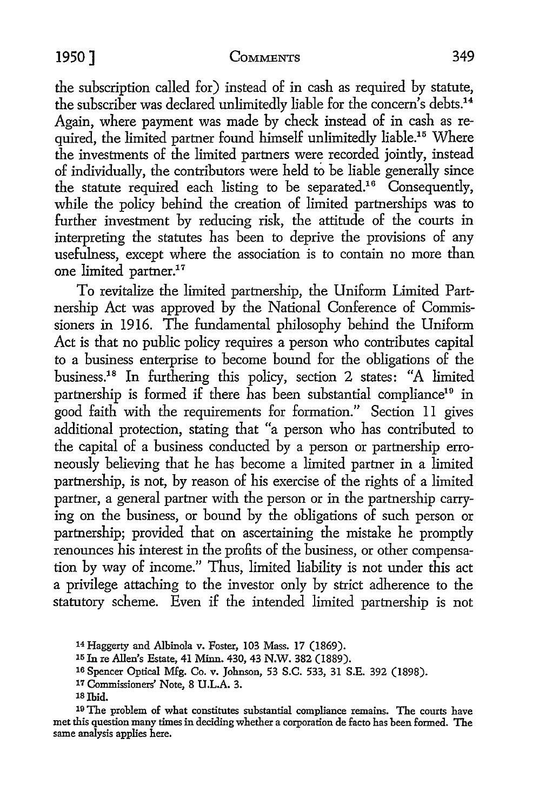#### **1950]** COMMENTS 349

the subscription called for) instead of in cash as required by statute, the subscriber was declared unlimitedly liable for the concern's debts.<sup>14</sup> Again, where payment was made by check instead of in cash as required, the limited partner found himself unlimitedly liable.<sup>15</sup> Where the investments of the limited partners were recorded jointly, instead of individually, the contributors were held to be liable generally since the statute required each listing to be separated.16 Consequently, while the policy behind the creation of limited partnerships was to further investment by reducing risk, the attitude of the courts in interpreting the statutes has been to deprive the provisions of any usefulness, except where the association is to contain no more than one limited partner.<sup>17</sup>

To revitalize the limited partnership, the Uniform Limited Partnership Act was approved by the National Conference of Commissioners in 1916. The fundamental philosophy behind the Uniform Act is that no public policy requires a person who contributes capital to a business enterprise to become bound for the obligations of the business.18 In furthering this policy, section 2 states: "A limited partnership is formed if there has been substantial compliance<sup>19</sup> in good faith with the requirements for formation." Section 11 gives additional protection, stating that "a person who has contributed to the capital of a business conducted by a person or partnership erroneously believing that he has become a limited partner in a limited partnership, is not, by reason of his exercise of the rights of a limited partner, a general partner with the person or in the partnership carrying on the business, or bound by the obligations of such person or partnership; provided that on ascertaining the mistake he promptly renounces his interest in the profits of the business, or other compensation by way of income." Thus, limited liability is not under this act a privilege attaching to the investor only by strict adherence to the statutory scheme. Even if the intended limited partnership is not

19 The problem of what constitutes substantial compliance remains. The courts have met this question many times in deciding whether a corporation de facto has been formed. The same analysis applies here.

<sup>14</sup> Haggerty and Albinola v. Foster, 103 Mass. 17 (1869).

<sup>15</sup> In re Allen's Estate, 41 Minn. 430, 43 N.W. 382 (1889).

<sup>16</sup> Spencer Optical Mfg. Co. v. Johnson, 53 S.C. 533, 31 S.E. 392 (1898).

<sup>17</sup> Commissioners' Note, 8 U.L.A. 3.

<sup>1</sup>s Ibid.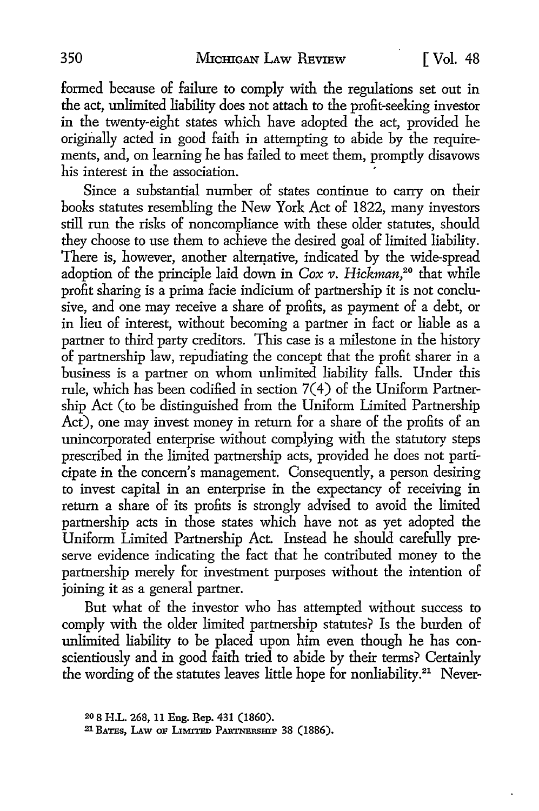formed because of failure *to* comply with the regulations set out in the act, unlimited liability does not attach *to* the profit-seeking investor in the twenty-eight states which have adopted the act, provided he originally acted in good faith in attempting *to* abide by the requirements, and, on learning he has failed *to* meet them, promptly disavows his interest in the association.

Since a substantial number of states continue *to* carry on their books statutes resembling the New York Act of 1822, many investors still run the risks of noncompliance with these older statutes, should they choose *to* use them *to* achieve the desired goal of limited liability. There is, however, another alternative, indicated by the wide-spread adoption of the principle laid down in *Cox v. Hickman,* 20 that while profit sharing is a prima facie indicium of partnership it is not conclusive, and one may receive a share of profits, as payment of a debt, or in lieu of interest, without becoming a partner in fact or liable as a partner *to* third party creditors. This case is a milestone in the history of partnership law, repudiating the concept that the profit sharer in a business is a partner on whom unlimited liability falls. Under this rule, which has been codified in section 7(4) of the Uniform Partnership Act (to be distinguished from the Uniform Limited Partnership Act), one may invest money in return for a share of the profits of an unincorporated enterprise without complying with the statutory steps prescribed in the limited partnership acts, provided he does not participate in the concern's management. Consequently, a person desiring to invest capital in an enterprise in the expectancy of receiving in return a share of its profits is strongly advised to avoid the limited partnership acts in those states which have not as yet adopted the Uniform Limited Partnership Act. Instead he should carefully preserve evidence indicating the fact that he contributed money to the partnership merely for investment purposes without the intention of joining it as a general partner.

But what of the investor who has attempted without success to comply with the older limited partnership statutes? Is the burden of unlimited liability to be placed upon him even though he has conscientiously and in good faith tried to abide by their terms? Certainly the wording of the statutes leaves little hope for nonliability.<sup>21</sup> Never-

<sup>20 8</sup> H.L. 268, 11 Eng. Rep. 431 (1860).

<sup>21</sup> BATES, LAw oF LIMITED PARTNERSHIP 38 (1886).